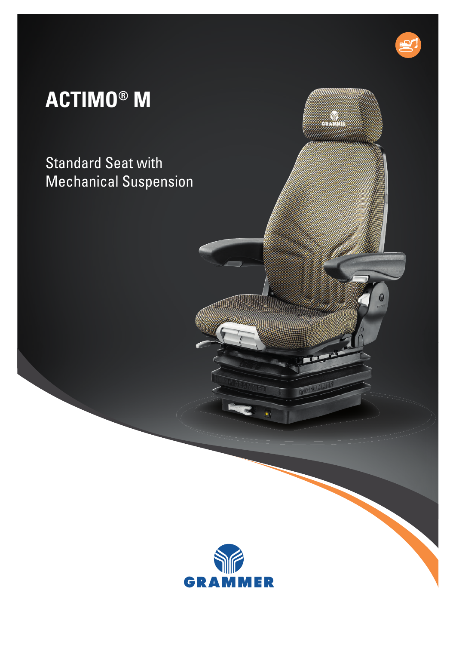## **ACTIMO® M**

Standard Seat with Mechanical Suspension



0